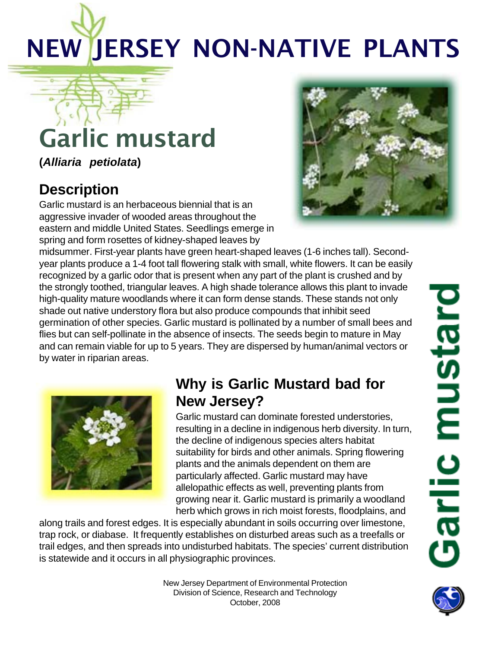# NEW JERSEY NON-NATIVE PLANTS

## Garlic mustard

**(***Alliaria petiolata***)**

### **Description**

Garlic mustard is an herbaceous biennial that is an aggressive invader of wooded areas throughout the eastern and middle United States. Seedlings emerge in spring and form rosettes of kidney-shaped leaves by



midsummer. First-year plants have green heart-shaped leaves (1-6 inches tall). Secondyear plants produce a 1-4 foot tall flowering stalk with small, white flowers. It can be easily recognized by a garlic odor that is present when any part of the plant is crushed and by the strongly toothed, triangular leaves. A high shade tolerance allows this plant to invade high-quality mature woodlands where it can form dense stands. These stands not only shade out native understory flora but also produce compounds that inhibit seed germination of other species. Garlic mustard is pollinated by a number of small bees and flies but can self-pollinate in the absence of insects. The seeds begin to mature in May and can remain viable for up to 5 years. They are dispersed by human/animal vectors or by water in riparian areas.



#### **Why is Garlic Mustard bad for New Jersey?**

Garlic mustard can dominate forested understories, resulting in a decline in indigenous herb diversity. In turn, the decline of indigenous species alters habitat suitability for birds and other animals. Spring flowering plants and the animals dependent on them are particularly affected. Garlic mustard may have allelopathic effects as well, preventing plants from growing near it. Garlic mustard is primarily a woodland herb which grows in rich moist forests, floodplains, and

along trails and forest edges. It is especially abundant in soils occurring over limestone, trap rock, or diabase. It frequently establishes on disturbed areas such as a treefalls or trail edges, and then spreads into undisturbed habitats. The species' current distribution is statewide and it occurs in all physiographic provinces.

> New Jersey Department of Environmental Protection Division of Science, Research and Technology October, 2008